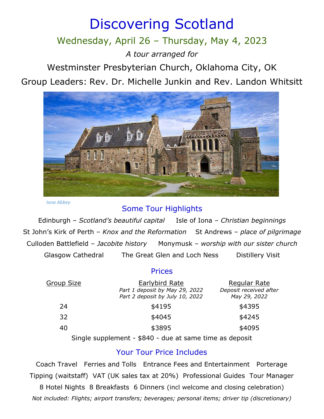# Discovering Scotland

## Wednesday, April 26 – Thursday, May 4, 2023

*A tour arranged for*

Westminster Presbyterian Church, Oklahoma City, OK

Group Leaders: Rev. Dr. Michelle Junkin and Rev. Landon Whitsitt



*Iona Abbey*

## Some Tour Highlights

Edinburgh – *Scotland's beautiful capital* Isle of Iona – *Christian beginnings* St John's Kirk of Perth – *Knox and the Reformation* St Andrews – *place of pilgrimage* Culloden Battlefield – *Jacobite history* Monymusk – *worship with our sister church* Glasgow Cathedral The Great Glen and Loch Ness Distillery Visit

### Prices

| <u>Group Size</u> | Earlybird Rate                                                    | Regular Rate                           |
|-------------------|-------------------------------------------------------------------|----------------------------------------|
|                   | Part 1 deposit by May 29, 2022<br>Part 2 deposit by July 10, 2022 | Deposit received after<br>May 29, 2022 |
| 24                | \$4195                                                            | \$4395                                 |
| 32                | \$4045                                                            | \$4245                                 |
| 40                | \$3895                                                            | \$4095                                 |
|                   |                                                                   |                                        |

Single supplement - \$840 - due at same time as deposit

## Your Tour Price Includes

Coach Travel Ferries and Tolls Entrance Fees and Entertainment Porterage Tipping (waitstaff) VAT (UK sales tax at 20%) Professional Guides Tour Manager

8 Hotel Nights 8 Breakfasts 6 Dinners (incl welcome and closing celebration) *Not included: Flights; airport transfers; beverages; personal items; driver tip (discretionary)*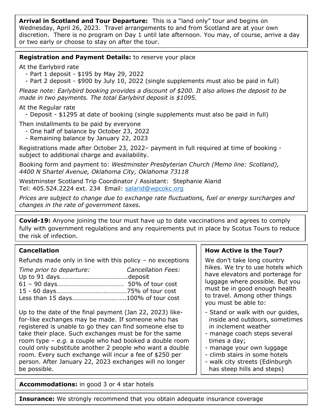**Arrival in Scotland and Tour Departure:** This is a "land only" tour and begins on Wednesday, April 26, 2023. Travel arrangements to and from Scotland are at your own discretion. There is no program on Day 1 until late afternoon. You may, of course, arrive a day or two early or choose to stay on after the tour.

#### **Registration and Payment Details:** to reserve your place

At the Earlybird rate

- Part 1 deposit \$195 by May 29, 2022
- Part 2 deposit \$900 by July 10, 2022 (single supplements must also be paid in full)

*Please note: Earlybird booking provides a discount of \$200. It also allows the deposit to be made in two payments. The total Earlybird deposit is \$1095.* 

At the Regular rate

- Deposit - \$1295 at date of booking (single supplements must also be paid in full)

Then installments to be paid by everyone

- One half of balance by October 23, 2022
- Remaining balance by January 22, 2023

Registrations made after October 23, 2022– payment in full required at time of booking subject to additional charge and availability.

Booking form and payment to: *Westminster Presbyterian Church (Memo line: Scotland), 4400 N Shartel Avenue, Oklahoma City, Oklahoma 73118*

Westminster Scotland Trip Coordinator / Assistant: Stephanie Alarid Tel: 405.524.2224 ext. 234 Email: [salarid@wpcokc.org](mailto:salarid@wpcokc.org)

*Prices are subject to change due to exchange rate fluctuations, fuel or energy surcharges and changes in the rate of government taxes.*

**Covid-19:** Anyone joining the tour must have up to date vaccinations and agrees to comply fully with government regulations and any requirements put in place by Scotus Tours to reduce the risk of infection.

#### **Cancellation**

Refunds made only in line with this policy  $-$  no exceptions

| Time prior to departure: | <b>Cancellation Fees:</b> |
|--------------------------|---------------------------|
|                          |                           |
|                          |                           |
|                          |                           |
|                          |                           |

Up to the date of the final payment (Jan 22, 2023) likefor-like exchanges may be made. If someone who has registered is unable to go they can find someone else to take their place. Such exchanges must be for the same room type – *e.g.* a couple who had booked a double room could only substitute another 2 people who want a double room. Every such exchange will incur a fee of \$250 per person. After January 22, 2023 exchanges will no longer be possible.

#### **How Active is the Tour?**

We don't take long country hikes. We try to use hotels which have elevators and porterage for luggage where possible. But you must be in good enough health to travel. Among other things you must be able to:

- Stand or walk with our guides, inside and outdoors, sometimes in inclement weather
- manage coach steps several times a day;
- manage your own luggage
- climb stairs in some hotels
- walk city streets (Edinburgh has steep hills and steps)

**Accommodations:** in good 3 or 4 star hotels

**Insurance:** We strongly recommend that you obtain adequate insurance coverage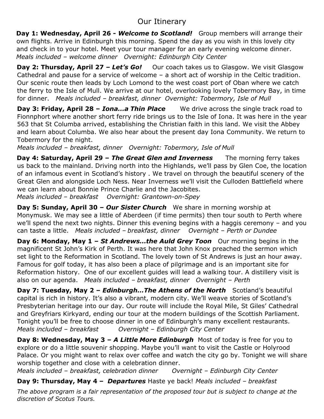## Our Itinerary

**Day 1: Wednesday, April 26 -** *Welcome to Scotland!* Group members will arrange their own flights. Arrive in Edinburgh this morning. Spend the day as you wish in this lovely city and check in to your hotel. Meet your tour manager for an early evening welcome dinner. *Meals included – welcome dinner Overnight: Edinburgh City Center* 

**Day 2: Thursday, April 27 – Let's Go!** Our coach takes us to Glasgow. We visit Glasgow Cathedral and pause for a service of welcome – a short act of worship in the Celtic tradition. Our scenic route then leads by Loch Lomond to the west coast port of Oban where we catch the ferry to the Isle of Mull. We arrive at our hotel, overlooking lovely Tobermory Bay, in time for dinner. *Meals included – breakfast, dinner Overnight: Tobermory, Isle of Mull*

**Day 3: Friday, April 28 –** *Iona…a Thin Place* We drive across the single track road to Fionnphort where another short ferry ride brings us to the Isle of Iona. It was here in the year 563 that St Columba arrived, establishing the Christian faith in this land. We visit the Abbey and learn about Columba. We also hear about the present day Iona Community. We return to Tobermory for the night.

*Meals included – breakfast, dinner Overnight: Tobermory, Isle of Mull*

**Day 4: Saturday, April 29 –** *The Great Glen and Inverness* The morning ferry takes us back to the mainland. Driving north into the Highlands, we'll pass by Glen Coe, the location of an infamous event in Scotland's history . We travel on through the beautiful scenery of the Great Glen and alongside Loch Ness. Near Inverness we'll visit the Culloden Battlefield where we can learn about Bonnie Prince Charlie and the Jacobites.

*Meals included – breakfast Overnight: Grantown-on-Spey*

**Day 5: Sunday, April 30 – Our Sister Church** We share in morning worship at Monymusk. We may see a little of Aberdeen (if time permits) then tour south to Perth where we'll spend the next two nights. Dinner this evening begins with a haggis ceremony – and you can taste a little. *Meals included – breakfast, dinner Overnight – Perth or Dundee*

**Day 6: Monday, May 1 –** *St Andrews…the Auld Grey Toon* Our morning begins in the magnificent St John's Kirk of Perth. It was here that John Knox preached the sermon which set light to the Reformation in Scotland. The lovely town of St Andrews is just an hour away. Famous for golf today, it has also been a place of pilgrimage and is an important site for Reformation history. One of our excellent guides will lead a walking tour. A distillery visit is also on our agenda. *Meals included – breakfast, dinner Overnight – Perth*

**Day 7: Tuesday, May 2 –** *Edinburgh…The Athens of the North* Scotland's beautiful capital is rich in history. It's also a vibrant, modern city. We'll weave stories of Scotland's Presbyterian heritage into our day. Our route will include the Royal Mile, St Giles' Cathedral and Greyfriars Kirkyard, ending our tour at the modern buildings of the Scottish Parliament. Tonight you'll be free to choose dinner in one of Edinburgh's many excellent restaurants. *Meals included – breakfast Overnight – Edinburgh City Center*

**Day 8: Wednesday, May 3 – A Little More Edinburgh** Most of today is free for you to explore or do a little souvenir shopping. Maybe you'll want to visit the Castle or Holyrood Palace. Or you might want to relax over coffee and watch the city go by. Tonight we will share worship together and close with a celebration dinner.

*Meals included – breakfast, celebration dinner Overnight – Edinburgh City Center*

**Day 9: Thursday, May 4 –** *Departures* Haste ye back! *Meals included – breakfast*

*The above program is a fair representation of the proposed tour but is subject to change at the discretion of Scotus Tours.*